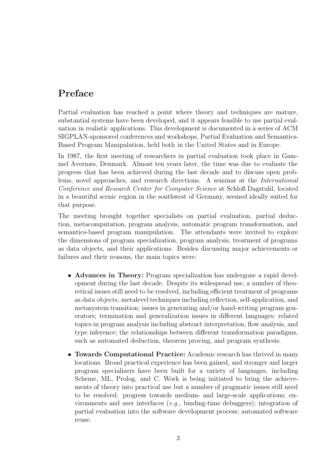# Preface

Partial evaluation has reached a point where theory and techniques are mature, substantial systems have been developed, and it appears feasible to use partial evaluation in realistic applications. This development is documented in a series of ACM SIGPLAN-sponsored conferences and workshops, Partial Evaluation and Semantics-Based Program Manipulation, held both in the United States and in Europe.

In 1987, the first meeting of researchers in partial evaluation took place in Gammel Avernæs, Denmark. Almost ten years later, the time was due to evaluate the progress that has been achieved during the last decade and to discuss open problems, novel approaches, and research directions. A seminar at the International Conference and Research Center for Computer Science at Schloß Dagstuhl, located in a beautiful scenic region in the southwest of Germany, seemed ideally suited for that purpose.

The meeting brought together specialists on partial evaluation, partial deduction, metacomputation, program analysis, automatic program transformation, and semantics-based program manipulation. The attendants were invited to explore the dimensions of program specialization, program analysis, treatment of programs as data objects, and their applications. Besides discussing major achievements or failures and their reasons, the main topics were:

- Advances in Theory: Program specialization has undergone a rapid development during the last decade. Despite its widespread use, a number of theoretical issues still need to be resolved, including efficient treatment of programs as data objects; metalevel techniques including reflection, self-application, and metasystem transition; issues in generating and/or hand-writing program generators; termination and generalization issues in different languages; related topics in program analysis including abstract interpretation, flow analysis, and type inference; the relationships between different transformation paradigms, such as automated deduction, theorem proving, and program synthesis.
- Towards Computational Practice: Academic research has thrived in many locations. Broad practical experience has been gained, and stronger and larger program specializers have been built for a variety of languages, including Scheme, ML, Prolog, and C. Work is being initiated to bring the achievements of theory into practical use but a number of pragmatic issues still need to be resolved: progress towards medium- and large-scale applications; environments and user interfaces  $(e.g.,)$  binding-time debuggers); integration of partial evaluation into the software development process; automated software reuse.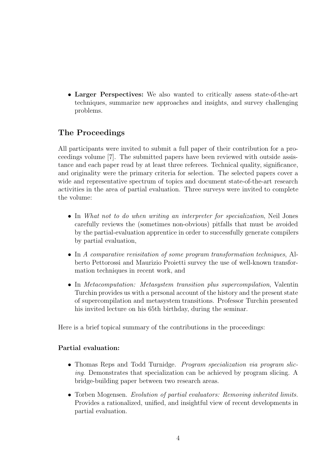• Larger Perspectives: We also wanted to critically assess state-of-the-art techniques, summarize new approaches and insights, and survey challenging problems.

## The Proceedings

All participants were invited to submit a full paper of their contribution for a proceedings volume [7]. The submitted papers have been reviewed with outside assistance and each paper read by at least three referees. Technical quality, significance, and originality were the primary criteria for selection. The selected papers cover a wide and representative spectrum of topics and document state-of-the-art research activities in the area of partial evaluation. Three surveys were invited to complete the volume:

- In What not to do when writing an interpreter for specialization, Neil Jones carefully reviews the (sometimes non-obvious) pitfalls that must be avoided by the partial-evaluation apprentice in order to successfully generate compilers by partial evaluation,
- In A comparative revisitation of some program transformation techniques, Alberto Pettorossi and Maurizio Proietti survey the use of well-known transformation techniques in recent work, and
- In *Metacomputation: Metasystem transition plus supercompilation*, Valentin Turchin provides us with a personal account of the history and the present state of supercompilation and metasystem transitions. Professor Turchin presented his invited lecture on his 65th birthday, during the seminar.

Here is a brief topical summary of the contributions in the proceedings:

## Partial evaluation:

- Thomas Reps and Todd Turnidge. *Program specialization via program slic*ing. Demonstrates that specialization can be achieved by program slicing. A bridge-building paper between two research areas.
- Torben Mogensen. Evolution of partial evaluators: Removing inherited limits. Provides a rationalized, unified, and insightful view of recent developments in partial evaluation.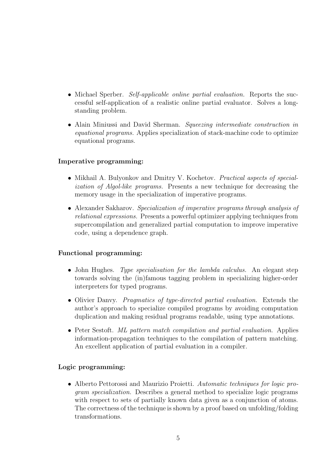- Michael Sperber. *Self-applicable online partial evaluation*. Reports the successful self-application of a realistic online partial evaluator. Solves a longstanding problem.
- Alain Miniussi and David Sherman. Squeezing intermediate construction in equational programs. Applies specialization of stack-machine code to optimize equational programs.

#### Imperative programming:

- Mikhail A. Bulyonkov and Dmitry V. Kochetov. Practical aspects of specialization of Algol-like programs. Presents a new technique for decreasing the memory usage in the specialization of imperative programs.
- Alexander Sakharov. Specialization of imperative programs through analysis of relational expressions. Presents a powerful optimizer applying techniques from supercompilation and generalized partial computation to improve imperative code, using a dependence graph.

## Functional programming:

- John Hughes. Type specialisation for the lambda calculus. An elegant step towards solving the (in)famous tagging problem in specializing higher-order interpreters for typed programs.
- Olivier Danyy. *Pragmatics of type-directed partial evaluation*. Extends the author's approach to specialize compiled programs by avoiding computation duplication and making residual programs readable, using type annotations.
- Peter Sestoft. ML pattern match compilation and partial evaluation. Applies information-propagation techniques to the compilation of pattern matching. An excellent application of partial evaluation in a compiler.

## Logic programming:

• Alberto Pettorossi and Maurizio Proietti. Automatic techniques for logic program specialization. Describes a general method to specialize logic programs with respect to sets of partially known data given as a conjunction of atoms. The correctness of the technique is shown by a proof based on unfolding/folding transformations.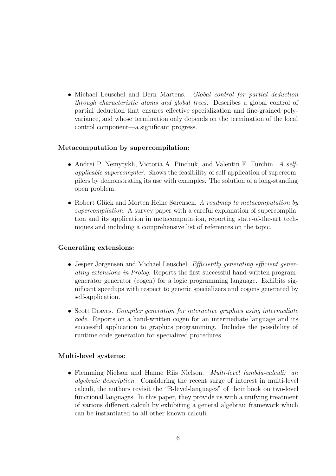• Michael Leuschel and Bern Martens. Global control for partial deduction through characteristic atoms and global trees. Describes a global control of partial deduction that ensures effective specialization and fine-grained polyvariance, and whose termination only depends on the termination of the local control component—a significant progress.

#### Metacomputation by supercompilation:

- Andrei P. Nemytykh, Victoria A. Pinchuk, and Valentin F. Turchin. A selfapplicable supercompiler. Shows the feasibility of self-application of supercompilers by demonstrating its use with examples. The solution of a long-standing open problem.
- Robert Glück and Morten Heine Sørensen. A roadmap to metacomputation by supercompilation. A survey paper with a careful explanation of supercompilation and its application in metacomputation, reporting state-of-the-art techniques and including a comprehensive list of references on the topic.

#### Generating extensions:

- Jesper Jørgensen and Michael Leuschel. *Efficiently generating efficient gener*ating extensions in Prolog. Reports the first successful hand-written programgenerator generator (cogen) for a logic programming language. Exhibits significant speedups with respect to generic specializers and cogens generated by self-application.
- Scott Draves. Compiler generation for interactive graphics using intermediate code. Reports on a hand-written cogen for an intermediate language and its successful application to graphics programming. Includes the possibility of runtime code generation for specialized procedures.

#### Multi-level systems:

• Flemming Nielson and Hanne Riis Nielson. *Multi-level lambda-calculi: an* algebraic description. Considering the recent surge of interest in multi-level calculi, the authors revisit the "B-level-languages" of their book on two-level functional languages. In this paper, they provide us with a unifying treatment of various different calculi by exhibiting a general algebraic framework which can be instantiated to all other known calculi.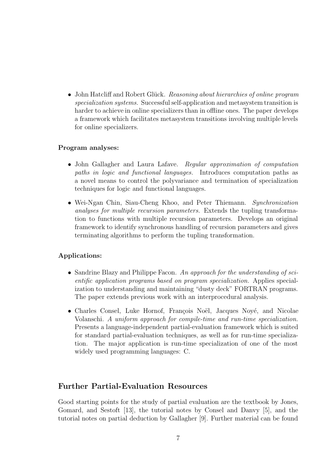• John Hatcliff and Robert Glück. Reasoning about hierarchies of online program specialization systems. Successful self-application and metasystem transition is harder to achieve in online specializers than in offline ones. The paper develops a framework which facilitates metasystem transitions involving multiple levels for online specializers.

#### Program analyses:

- John Gallagher and Laura Lafave. Regular approximation of computation paths in logic and functional languages. Introduces computation paths as a novel means to control the polyvariance and termination of specialization techniques for logic and functional languages.
- Wei-Ngan Chin, Siau-Cheng Khoo, and Peter Thiemann. Synchronization analyses for multiple recursion parameters. Extends the tupling transformation to functions with multiple recursion parameters. Develops an original framework to identify synchronous handling of recursion parameters and gives terminating algorithms to perform the tupling transformation.

#### Applications:

- Sandrine Blazy and Philippe Facon. An approach for the understanding of scientific application programs based on program specialization. Applies specialization to understanding and maintaining "dusty deck" FORTRAN programs. The paper extends previous work with an interprocedural analysis.
- Charles Consel, Luke Hornof, François Noël, Jacques Noyé, and Nicolae Volanschi. A uniform approach for compile-time and run-time specialization. Presents a language-independent partial-evaluation framework which is suited for standard partial-evaluation techniques, as well as for run-time specialization. The major application is run-time specialization of one of the most widely used programming languages: C.

## Further Partial-Evaluation Resources

Good starting points for the study of partial evaluation are the textbook by Jones, Gomard, and Sestoft [13], the tutorial notes by Consel and Danvy [5], and the tutorial notes on partial deduction by Gallagher [9]. Further material can be found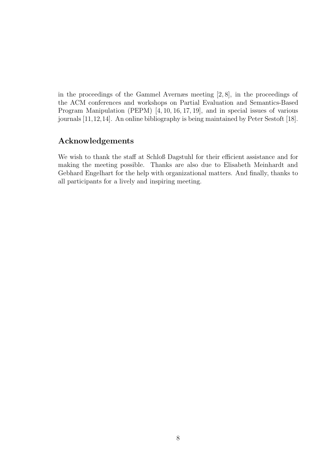in the proceedings of the Gammel Avernæs meeting [2, 8], in the proceedings of the ACM conferences and workshops on Partial Evaluation and Semantics-Based Program Manipulation (PEPM) [4, 10, 16, 17, 19], and in special issues of various journals [11,12,14]. An online bibliography is being maintained by Peter Sestoft [18].

## Acknowledgements

We wish to thank the staff at Schloß Dagstuhl for their efficient assistance and for making the meeting possible. Thanks are also due to Elisabeth Meinhardt and Gebhard Engelhart for the help with organizational matters. And finally, thanks to all participants for a lively and inspiring meeting.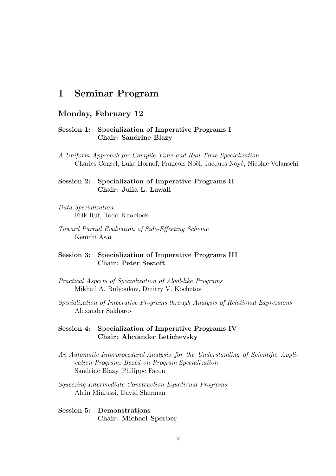# 1 Seminar Program

#### Monday, February 12

#### Session 1: Specialization of Imperative Programs I Chair: Sandrine Blazy

A Uniform Approach for Compile-Time and Run-Time Specialization Charles Consel, Luke Hornof, François Noël, Jacques Noyé, Nicolae Volanschi

#### Session 2: Specialization of Imperative Programs II Chair: Julia L. Lawall

- Data Specialization Erik Ruf, Todd Knoblock
- Toward Partial Evaluation of Side-Effecting Scheme Kenichi Asai

#### Session 3: Specialization of Imperative Programs III Chair: Peter Sestoft

- Practical Aspects of Specialization of Algol-like Programs Mikhail A. Bulyonkov, Dmitry V. Kochetov
- Specialization of Imperative Programs through Analysis of Relational Expressions Alexander Sakharov

#### Session 4: Specialization of Imperative Programs IV Chair: Alexander Letichevsky

- An Automatic Interprocedural Analysis for the Understanding of Scientific Application Programs Based on Program Specialization Sandrine Blazy, Philippe Facon
- Squeezing Intermediate Construction Equational Programs Alain Miniussi, David Sherman

#### Session 5: Demonstrations Chair: Michael Sperber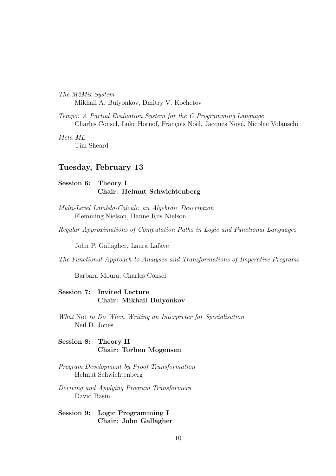The M2Mix System Mikhail A. Bulyonkov, Dmitry V. Kochetov

Tempo: A Partial Evaluation System for the C Programming Language Charles Consel, Luke Hornof, François Noël, Jacques Noyé, Nicolae Volanschi

Meta-ML

Tim Sheard

#### Tuesday, February 13

#### Session 6: Theory I Chair: Helmut Schwichtenberg

- Multi-Level Lambda-Calculi: an Algebraic Description Flemming Nielson, Hanne Riis Nielson
- Regular Approximations of Computation Paths in Logic and Functional Languages

John P. Gallagher, Laura Lafave

The Functional Approach to Analyses and Transformations of Imperative Programs

Barbara Moura, Charles Consel

#### Session 7: Invited Lecture Chair: Mikhail Bulyonkov

What Not to Do When Writing an Interpreter for Specialisation Neil D. Jones

#### Session 8: Theory II Chair: Torben Mogensen

Program Development by Proof Transformation Helmut Schwichtenberg

Deriving and Applying Program Transformers David Basin

#### Session 9: Logic Programming I Chair: John Gallagher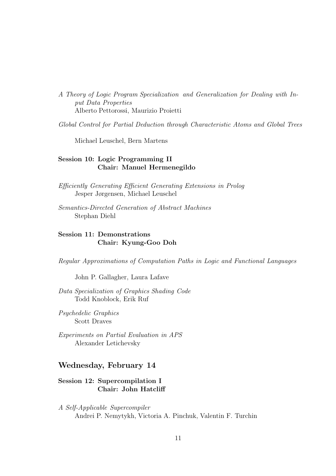- A Theory of Logic Program Specialization and Generalization for Dealing with Input Data Properties Alberto Pettorossi, Maurizio Proietti
- Global Control for Partial Deduction through Characteristic Atoms and Global Trees

Michael Leuschel, Bern Martens

## Session 10: Logic Programming II Chair: Manuel Hermenegildo

- Efficiently Generating Efficient Generating Extensions in Prolog Jesper Jørgensen, Michael Leuschel
- Semantics-Directed Generation of Abstract Machines Stephan Diehl

## Session 11: Demonstrations Chair: Kyung-Goo Doh

Regular Approximations of Computation Paths in Logic and Functional Languages

John P. Gallagher, Laura Lafave

Data Specialization of Graphics Shading Code Todd Knoblock, Erik Ruf

Psychedelic Graphics Scott Draves

Experiments on Partial Evaluation in APS Alexander Letichevsky

### Wednesday, February 14

## Session 12: Supercompilation I Chair: John Hatcliff

A Self-Applicable Supercompiler Andrei P. Nemytykh, Victoria A. Pinchuk, Valentin F. Turchin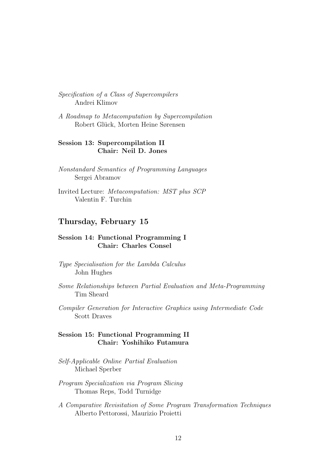Specification of a Class of Supercompilers Andrei Klimov

A Roadmap to Metacomputation by Supercompilation Robert Glück, Morten Heine Sørensen

### Session 13: Supercompilation II Chair: Neil D. Jones

Nonstandard Semantics of Programming Languages Sergei Abramov

Invited Lecture: Metacomputation: MST plus SCP Valentin F. Turchin

#### Thursday, February 15

#### Session 14: Functional Programming I Chair: Charles Consel

- Type Specialisation for the Lambda Calculus John Hughes
- Some Relationships between Partial Evaluation and Meta-Programming Tim Sheard
- Compiler Generation for Interactive Graphics using Intermediate Code Scott Draves

#### Session 15: Functional Programming II Chair: Yoshihiko Futamura

- Self-Applicable Online Partial Evaluation Michael Sperber
- Program Specialization via Program Slicing Thomas Reps, Todd Turnidge
- A Comparative Revisitation of Some Program Transformation Techniques Alberto Pettorossi, Maurizio Proietti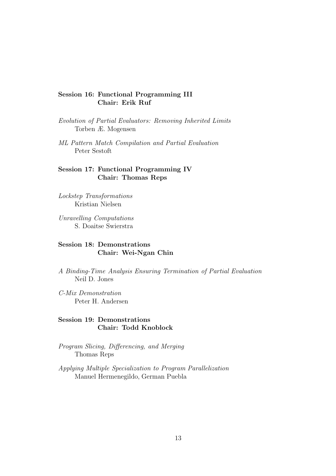#### Session 16: Functional Programming III Chair: Erik Ruf

Evolution of Partial Evaluators: Removing Inherited Limits Torben Æ. Mogensen

ML Pattern Match Compilation and Partial Evaluation Peter Sestoft

#### Session 17: Functional Programming IV Chair: Thomas Reps

Lockstep Transformations Kristian Nielsen

Unravelling Computations S. Doaitse Swierstra

## Session 18: Demonstrations Chair: Wei-Ngan Chin

A Binding-Time Analysis Ensuring Termination of Partial Evaluation Neil D. Jones

C-Mix Demonstration Peter H. Andersen

## Session 19: Demonstrations Chair: Todd Knoblock

Program Slicing, Differencing, and Merging Thomas Reps

Applying Multiple Specialization to Program Parallelization Manuel Hermenegildo, German Puebla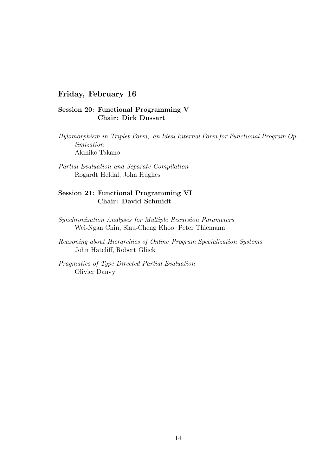## Friday, February 16

### Session 20: Functional Programming V Chair: Dirk Dussart

Hylomorphism in Triplet Form, an Ideal Internal Form for Functional Program Optimization Akihiko Takano

Partial Evaluation and Separate Compilation Rogardt Heldal, John Hughes

#### Session 21: Functional Programming VI Chair: David Schmidt

Synchronization Analyses for Multiple Recursion Parameters Wei-Ngan Chin, Siau-Cheng Khoo, Peter Thiemann

Reasoning about Hierarchies of Online Program Specialization Systems John Hatcliff, Robert Glück

Pragmatics of Type-Directed Partial Evaluation Olivier Danvy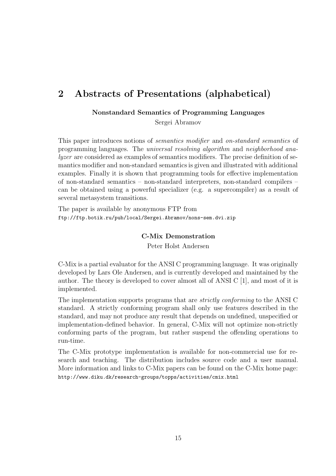# 2 Abstracts of Presentations (alphabetical)

#### Nonstandard Semantics of Programming Languages

Sergei Abramov

This paper introduces notions of semantics modifier and on-standard semantics of programming languages. The universal resolving algorithm and neighborhood analyzer are considered as examples of semantics modifiers. The precise definition of semantics modifier and non-standard semantics is given and illustrated with additional examples. Finally it is shown that programming tools for effective implementation of non-standard semantics – non-standard interpreters, non-standard compilers – can be obtained using a powerful specializer (e.g. a supercompiler) as a result of several metasystem transitions.

The paper is available by anonymous FTP from ftp://ftp.botik.ru/pub/local/Sergei.Abramov/nons-sem.dvi.zip

#### C-Mix Demonstration

Peter Holst Andersen

C-Mix is a partial evaluator for the ANSI C programming language. It was originally developed by Lars Ole Andersen, and is currently developed and maintained by the author. The theory is developed to cover almost all of ANSI C [1], and most of it is implemented.

The implementation supports programs that are strictly conforming to the ANSI C standard. A strictly conforming program shall only use features described in the standard, and may not produce any result that depends on undefined, unspecified or implementation-defined behavior. In general, C-Mix will not optimize non-strictly conforming parts of the program, but rather suspend the offending operations to run-time.

The C-Mix prototype implementation is available for non-commercial use for research and teaching. The distribution includes source code and a user manual. More information and links to C-Mix papers can be found on the C-Mix home page: http://www.diku.dk/research-groups/topps/activities/cmix.html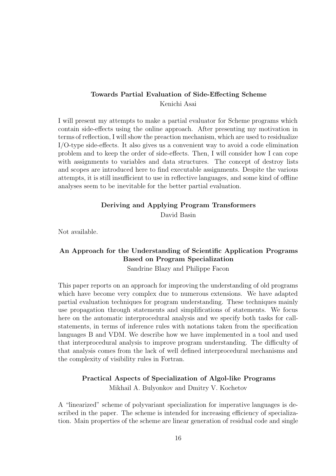### Towards Partial Evaluation of Side-Effecting Scheme Kenichi Asai

I will present my attempts to make a partial evaluator for Scheme programs which contain side-effects using the online approach. After presenting my motivation in terms of reflection, I will show the preaction mechanism, which are used to residualize I/O-type side-effects. It also gives us a convenient way to avoid a code elimination problem and to keep the order of side-effects. Then, I will consider how I can cope with assignments to variables and data structures. The concept of destroy lists and scopes are introduced here to find executable assignments. Despite the various attempts, it is still insufficient to use in reflective languages, and some kind of offline analyses seem to be inevitable for the better partial evaluation.

#### Deriving and Applying Program Transformers

David Basin

Not available.

## An Approach for the Understanding of Scientific Application Programs Based on Program Specialization

Sandrine Blazy and Philippe Facon

This paper reports on an approach for improving the understanding of old programs which have become very complex due to numerous extensions. We have adapted partial evaluation techniques for program understanding. These techniques mainly use propagation through statements and simplifications of statements. We focus here on the automatic interprocedural analysis and we specify both tasks for callstatements, in terms of inference rules with notations taken from the specification languages B and VDM. We describe how we have implemented in a tool and used that interprocedural analysis to improve program understanding. The difficulty of that analysis comes from the lack of well defined interprocedural mechanisms and the complexity of visibility rules in Fortran.

## Practical Aspects of Specialization of Algol-like Programs Mikhail A. Bulyonkov and Dmitry V. Kochetov

A "linearized" scheme of polyvariant specialization for imperative languages is described in the paper. The scheme is intended for increasing efficiency of specialization. Main properties of the scheme are linear generation of residual code and single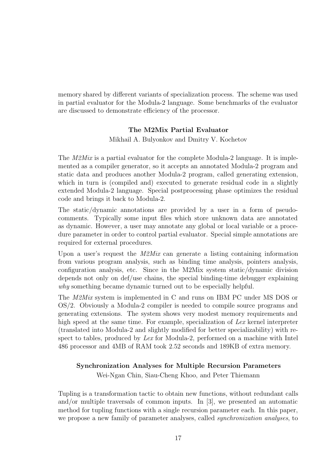memory shared by different variants of specialization process. The scheme was used in partial evaluator for the Modula-2 language. Some benchmarks of the evaluator are discussed to demonstrate efficiency of the processor.

## The M2Mix Partial Evaluator Mikhail A. Bulyonkov and Dmitry V. Kochetov

The  $M2Mix$  is a partial evaluator for the complete Modula-2 language. It is implemented as a compiler generator, so it accepts an annotated Modula-2 program and static data and produces another Modula-2 program, called generating extension, which in turn is (compiled and) executed to generate residual code in a slightly extended Modula-2 language. Special postprocessing phase optimizes the residual code and brings it back to Modula-2.

The static/dynamic annotations are provided by a user in a form of pseudocomments. Typically some input files which store unknown data are annotated as dynamic. However, a user may annotate any global or local variable or a procedure parameter in order to control partial evaluator. Special simple annotations are required for external procedures.

Upon a user's request the  $M2Mix$  can generate a listing containing information from various program analysis, such as binding time analysis, pointers analysis, configuration analysis, etc. Since in the M2Mix system static/dynamic division depends not only on def/use chains, the special binding-time debugger explaining why something became dynamic turned out to be especially helpful.

The M2Mix system is implemented in C and runs on IBM PC under MS DOS or OS/2. Obviously a Modula-2 compiler is needed to compile source programs and generating extensions. The system shows very modest memory requirements and high speed at the same time. For example, specialization of Lex kernel interpreter (translated into Modula-2 and slightly modified for better specializability) with respect to tables, produced by Lex for Modula-2, performed on a machine with Intel 486 processor and 4MB of RAM took 2.52 seconds and 189KB of extra memory.

## Synchronization Analyses for Multiple Recursion Parameters

Wei-Ngan Chin, Siau-Cheng Khoo, and Peter Thiemann

Tupling is a transformation tactic to obtain new functions, without redundant calls and/or multiple traversals of common inputs. In [3], we presented an automatic method for tupling functions with a single recursion parameter each. In this paper, we propose a new family of parameter analyses, called *synchronization analyses*, to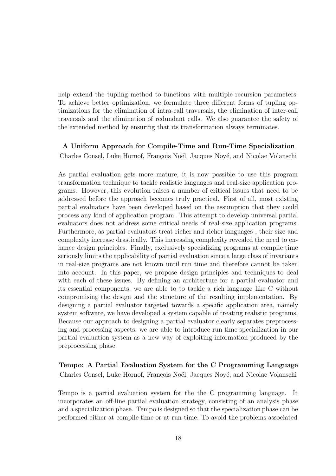help extend the tupling method to functions with multiple recursion parameters. To achieve better optimization, we formulate three different forms of tupling optimizations for the elimination of intra-call traversals, the elimination of inter-call traversals and the elimination of redundant calls. We also guarantee the safety of the extended method by ensuring that its transformation always terminates.

## A Uniform Approach for Compile-Time and Run-Time Specialization Charles Consel, Luke Hornof, François Noël, Jacques Noyé, and Nicolae Volanschi

As partial evaluation gets more mature, it is now possible to use this program transformation technique to tackle realistic languages and real-size application programs. However, this evolution raises a number of critical issues that need to be addressed before the approach becomes truly practical. First of all, most existing partial evaluators have been developed based on the assumption that they could process any kind of application program. This attempt to develop universal partial evaluators does not address some critical needs of real-size application programs. Furthermore, as partial evaluators treat richer and richer languages , their size and complexity increase drastically. This increasing complexity revealed the need to enhance design principles. Finally, exclusively specializing programs at compile time seriously limits the applicability of partial evaluation since a large class of invariants in real-size programs are not known until run time and therefore cannot be taken into account. In this paper, we propose design principles and techniques to deal with each of these issues. By defining an architecture for a partial evaluator and its essential components, we are able to to tackle a rich language like C without compromising the design and the structure of the resulting implementation. By designing a partial evaluator targeted towards a specific application area, namely system software, we have developed a system capable of treating realistic programs. Because our approach to designing a partial evaluator clearly separates preprocessing and processing aspects, we are able to introduce run-time specialization in our partial evaluation system as a new way of exploiting information produced by the preprocessing phase.

## Tempo: A Partial Evaluation System for the C Programming Language Charles Consel, Luke Hornof, François Noël, Jacques Noyé, and Nicolae Volanschi

Tempo is a partial evaluation system for the the C programming language. It incorporates an off-line partial evaluation strategy, consisting of an analysis phase and a specialization phase. Tempo is designed so that the specialization phase can be performed either at compile time or at run time. To avoid the problems associated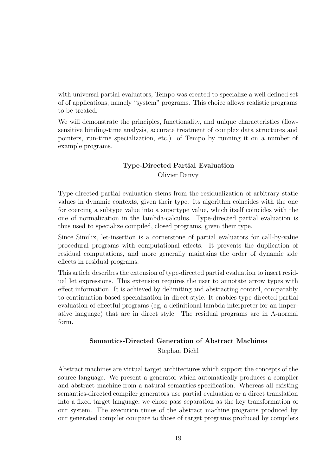with universal partial evaluators, Tempo was created to specialize a well defined set of of applications, namely "system" programs. This choice allows realistic programs to be treated.

We will demonstrate the principles, functionality, and unique characteristics (flowsensitive binding-time analysis, accurate treatment of complex data structures and pointers, run-time specialization, etc.) of Tempo by running it on a number of example programs.

# Type-Directed Partial Evaluation

Olivier Danvy

Type-directed partial evaluation stems from the residualization of arbitrary static values in dynamic contexts, given their type. Its algorithm coincides with the one for coercing a subtype value into a supertype value, which itself coincides with the one of normalization in the lambda-calculus. Type-directed partial evaluation is thus used to specialize compiled, closed programs, given their type.

Since Similix, let-insertion is a cornerstone of partial evaluators for call-by-value procedural programs with computational effects. It prevents the duplication of residual computations, and more generally maintains the order of dynamic side effects in residual programs.

This article describes the extension of type-directed partial evaluation to insert residual let expressions. This extension requires the user to annotate arrow types with effect information. It is achieved by delimiting and abstracting control, comparably to continuation-based specialization in direct style. It enables type-directed partial evaluation of effectful programs (eg, a definitional lambda-interpreter for an imperative language) that are in direct style. The residual programs are in A-normal form.

## Semantics-Directed Generation of Abstract Machines

Stephan Diehl

Abstract machines are virtual target architectures which support the concepts of the source language. We present a generator which automatically produces a compiler and abstract machine from a natural semantics specification. Whereas all existing semantics-directed compiler generators use partial evaluation or a direct translation into a fixed target language, we chose pass separation as the key transformation of our system. The execution times of the abstract machine programs produced by our generated compiler compare to those of target programs produced by compilers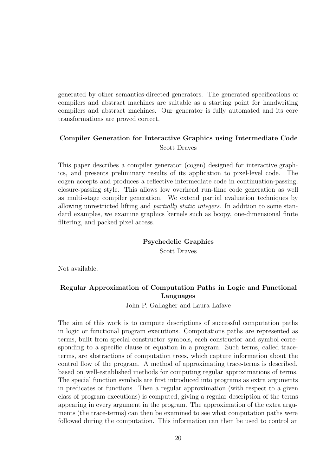generated by other semantics-directed generators. The generated specifications of compilers and abstract machines are suitable as a starting point for handwriting compilers and abstract machines. Our generator is fully automated and its core transformations are proved correct.

## Compiler Generation for Interactive Graphics using Intermediate Code Scott Draves

This paper describes a compiler generator (cogen) designed for interactive graphics, and presents preliminary results of its application to pixel-level code. The cogen accepts and produces a reflective intermediate code in continuation-passing, closure-passing style. This allows low overhead run-time code generation as well as multi-stage compiler generation. We extend partial evaluation techniques by allowing unrestricted lifting and partially static integers. In addition to some standard examples, we examine graphics kernels such as bcopy, one-dimensional finite filtering, and packed pixel access.

#### Psychedelic Graphics

Scott Draves

Not available.

## Regular Approximation of Computation Paths in Logic and Functional Languages

John P. Gallagher and Laura Lafave

The aim of this work is to compute descriptions of successful computation paths in logic or functional program executions. Computations paths are represented as terms, built from special constructor symbols, each constructor and symbol corresponding to a specific clause or equation in a program. Such terms, called traceterms, are abstractions of computation trees, which capture information about the control flow of the program. A method of approximating trace-terms is described, based on well-established methods for computing regular approximations of terms. The special function symbols are first introduced into programs as extra arguments in predicates or functions. Then a regular approximation (with respect to a given class of program executions) is computed, giving a regular description of the terms appearing in every argument in the program. The approximation of the extra arguments (the trace-terms) can then be examined to see what computation paths were followed during the computation. This information can then be used to control an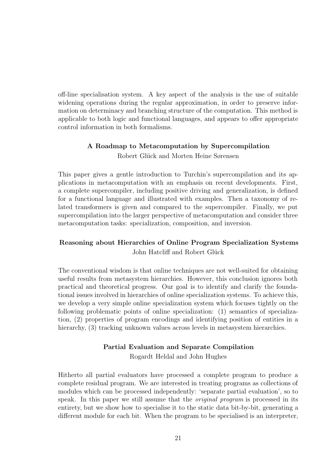off-line specialisation system. A key aspect of the analysis is the use of suitable widening operations during the regular approximation, in order to preserve information on determinacy and branching structure of the computation. This method is applicable to both logic and functional languages, and appears to offer appropriate control information in both formalisms.

#### A Roadmap to Metacomputation by Supercompilation

Robert Glück and Morten Heine Sørensen

This paper gives a gentle introduction to Turchin's supercompilation and its applications in metacomputation with an emphasis on recent developments. First, a complete supercompiler, including positive driving and generalization, is defined for a functional language and illustrated with examples. Then a taxonomy of related transformers is given and compared to the supercompiler. Finally, we put supercompilation into the larger perspective of metacomputation and consider three metacomputation tasks: specialization, composition, and inversion.

## Reasoning about Hierarchies of Online Program Specialization Systems John Hatcliff and Robert Glück

The conventional wisdom is that online techniques are not well-suited for obtaining useful results from metasystem hierarchies. However, this conclusion ignores both practical and theoretical progress. Our goal is to identify and clarify the foundational issues involved in hierarchies of online specialization systems. To achieve this, we develop a very simple online specialization system which focuses tightly on the following problematic points of online specialization: (1) semantics of specialization, (2) properties of program encodings and identifying position of entities in a hierarchy, (3) tracking unknown values across levels in metasystem hierarchies.

## Partial Evaluation and Separate Compilation

Rogardt Heldal and John Hughes

Hitherto all partial evaluators have processed a complete program to produce a complete residual program. We are interested in treating programs as collections of modules which can be processed independently: 'separate partial evaluation', so to speak. In this paper we still assume that the *original program* is processed in its entirety, but we show how to specialise it to the static data bit-by-bit, generating a different module for each bit. When the program to be specialised is an interpreter,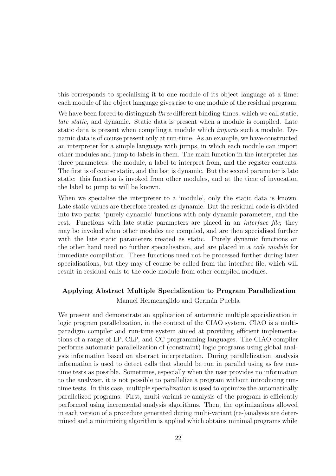this corresponds to specialising it to one module of its object language at a time: each module of the object language gives rise to one module of the residual program.

We have been forced to distinguish *three* different binding-times, which we call static, late static, and dynamic. Static data is present when a module is compiled. Late static data is present when compiling a module which imports such a module. Dynamic data is of course present only at run-time. As an example, we have constructed an interpreter for a simple language with jumps, in which each module can import other modules and jump to labels in them. The main function in the interpreter has three parameters: the module, a label to interpret from, and the register contents. The first is of course static, and the last is dynamic. But the second parameter is late static: this function is invoked from other modules, and at the time of invocation the label to jump to will be known.

When we specialise the interpreter to a 'module', only the static data is known. Late static values are therefore treated as dynamic. But the residual code is divided into two parts: 'purely dynamic' functions with only dynamic parameters, and the rest. Functions with late static parameters are placed in an *interface file*; they may be invoked when other modules are compiled, and are then specialised further with the late static parameters treated as static. Purely dynamic functions on the other hand need no further specialisation, and are placed in a code module for immediate compilation. These functions need not be processed further during later specialisations, but they may of course be called from the interface file, which will result in residual calls to the code module from other compiled modules.

## Applying Abstract Multiple Specialization to Program Parallelization Manuel Hermenegildo and Germán Puebla

We present and demonstrate an application of automatic multiple specialization in logic program parallelization, in the context of the CIAO system. CIAO is a multiparadigm compiler and run-time system aimed at providing efficient implementations of a range of LP, CLP, and CC programming languages. The CIAO compiler performs automatic parallelization of (constraint) logic programs using global analysis information based on abstract interpretation. During parallelization, analysis information is used to detect calls that should be run in parallel using as few runtime tests as possible. Sometimes, especially when the user provides no information to the analyzer, it is not possible to parallelize a program without introducing runtime tests. In this case, multiple specialization is used to optimize the automatically parallelized programs. First, multi-variant re-analysis of the program is efficiently performed using incremental analysis algorithms. Then, the optimizations allowed in each version of a procedure generated during multi-variant (re-)analysis are determined and a minimizing algorithm is applied which obtains minimal programs while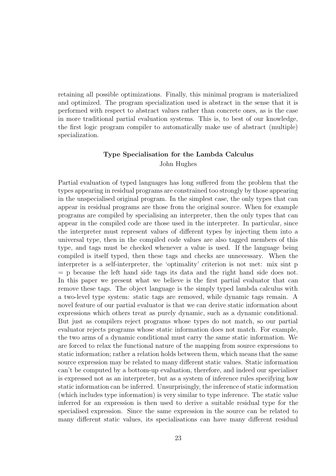retaining all possible optimizations. Finally, this minimal program is materialized and optimized. The program specialization used is abstract in the sense that it is performed with respect to abstract values rather than concrete ones, as is the case in more traditional partial evaluation systems. This is, to best of our knowledge, the first logic program compiler to automatically make use of abstract (multiple) specialization.

#### Type Specialisation for the Lambda Calculus John Hughes

Partial evaluation of typed languages has long suffered from the problem that the types appearing in residual programs are constrained too strongly by those appearing in the unspecialised original program. In the simplest case, the only types that can appear in residual programs are those from the original source. When for example programs are compiled by specialising an interpreter, then the only types that can appear in the compiled code are those used in the interpreter. In particular, since the interpreter must represent values of different types by injecting them into a universal type, then in the compiled code values are also tagged members of this type, and tags must be checked whenever a value is used. If the language being compiled is itself typed, then these tags and checks are unnecessary. When the interpreter is a self-interpreter, the 'optimality' criterion is not met: mix sint p  $=$  p because the left hand side tags its data and the right hand side does not. In this paper we present what we believe is the first partial evaluator that can remove these tags. The object language is the simply typed lambda calculus with a two-level type system: static tags are removed, while dynamic tags remain. A novel feature of our partial evaluator is that we can derive static information about expressions which others treat as purely dynamic, such as a dynamic conditional. But just as compilers reject programs whose types do not match, so our partial evaluator rejects programs whose static information does not match. For example, the two arms of a dynamic conditional must carry the same static information. We are forced to relax the functional nature of the mapping from source expressions to static information; rather a relation holds between them, which means that the same source expression may be related to many different static values. Static information can't be computed by a bottom-up evaluation, therefore, and indeed our specialiser is expressed not as an interpreter, but as a system of inference rules specifying how static information can be inferred. Unsurprisingly, the inference of static information (which includes type information) is very similar to type inference. The static value inferred for an expression is then used to derive a suitable residual type for the specialised expression. Since the same expression in the source can be related to many different static values, its specialisations can have many different residual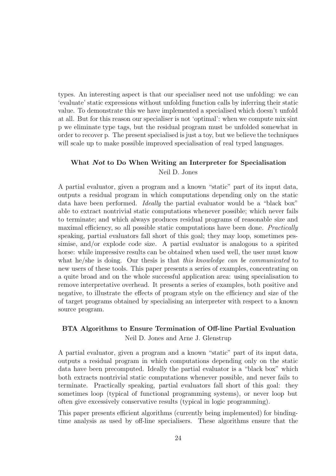types. An interesting aspect is that our specialiser need not use unfolding: we can 'evaluate' static expressions without unfolding function calls by inferring their static value. To demonstrate this we have implemented a specialised which doesn't unfold at all. But for this reason our specialiser is not 'optimal': when we compute mix sint p we eliminate type tags, but the residual program must be unfolded somewhat in order to recover p. The present specialised is just a toy, but we believe the techniques will scale up to make possible improved specialisation of real typed languages.

#### What Not to Do When Writing an Interpreter for Specialisation Neil D. Jones

A partial evaluator, given a program and a known "static" part of its input data, outputs a residual program in which computations depending only on the static data have been performed. *Ideally* the partial evaluator would be a "black box" able to extract nontrivial static computations whenever possible; which never fails to terminate; and which always produces residual programs of reasonable size and maximal efficiency, so all possible static computations have been done. Practically speaking, partial evaluators fall short of this goal; they may loop, sometimes pessimise, and/or explode code size. A partial evaluator is analogous to a spirited horse: while impressive results can be obtained when used well, the user must know what he/she is doing. Our thesis is that this knowledge can be communicated to new users of these tools. This paper presents a series of examples, concentrating on a quite broad and on the whole successful application area: using specialisation to remove interpretative overhead. It presents a series of examples, both positive and negative, to illustrate the effects of program style on the efficiency and size of the of target programs obtained by specialising an interpreter with respect to a known source program.

## BTA Algorithms to Ensure Termination of Off-line Partial Evaluation Neil D. Jones and Arne J. Glenstrup

A partial evaluator, given a program and a known "static" part of its input data, outputs a residual program in which computations depending only on the static data have been precomputed. Ideally the partial evaluator is a "black box" which both extracts nontrivial static computations whenever possible, and never fails to terminate. Practically speaking, partial evaluators fall short of this goal: they sometimes loop (typical of functional programming systems), or never loop but often give excessively conservative results (typical in logic programming).

This paper presents efficient algorithms (currently being implemented) for bindingtime analysis as used by off-line specialisers. These algorithms ensure that the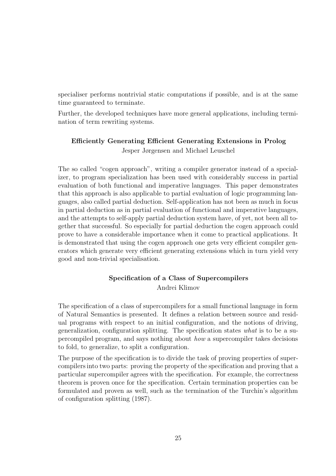specialiser performs nontrivial static computations if possible, and is at the same time guaranteed to terminate.

Further, the developed techniques have more general applications, including termination of term rewriting systems.

## Efficiently Generating Efficient Generating Extensions in Prolog Jesper Jørgensen and Michael Leuschel

The so called "cogen approach", writing a compiler generator instead of a specializer, to program specialization has been used with considerably success in partial evaluation of both functional and imperative languages. This paper demonstrates that this approach is also applicable to partial evaluation of logic programming languages, also called partial deduction. Self-application has not been as much in focus in partial deduction as in partial evaluation of functional and imperative languages, and the attempts to self-apply partial deduction system have, of yet, not been all together that successful. So especially for partial deduction the cogen approach could prove to have a considerable importance when it come to practical applications. It is demonstrated that using the cogen approach one gets very efficient compiler generators which generate very efficient generating extensions which in turn yield very good and non-trivial specialisation.

## Specification of a Class of Supercompilers Andrei Klimov

The specification of a class of supercompilers for a small functional language in form of Natural Semantics is presented. It defines a relation between source and residual programs with respect to an initial configuration, and the notions of driving, generalization, configuration splitting. The specification states what is to be a supercompiled program, and says nothing about how a supercompiler takes decisions to fold, to generalize, to split a configuration.

The purpose of the specification is to divide the task of proving properties of supercompilers into two parts: proving the property of the specification and proving that a particular supercompiler agrees with the specification. For example, the correctness theorem is proven once for the specification. Certain termination properties can be formulated and proven as well, such as the termination of the Turchin's algorithm of configuration splitting (1987).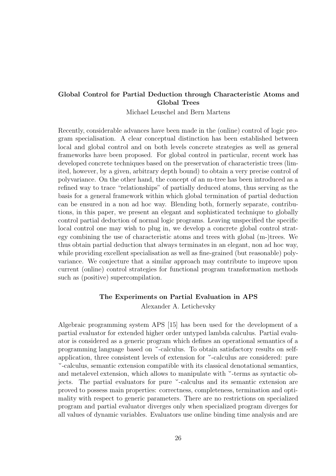#### Global Control for Partial Deduction through Characteristic Atoms and Global Trees

Michael Leuschel and Bern Martens

Recently, considerable advances have been made in the (online) control of logic program specialisation. A clear conceptual distinction has been established between local and global control and on both levels concrete strategies as well as general frameworks have been proposed. For global control in particular, recent work has developed concrete techniques based on the preservation of characteristic trees (limited, however, by a given, arbitrary depth bound) to obtain a very precise control of polyvariance. On the other hand, the concept of an m-tree has been introduced as a refined way to trace "relationships" of partially deduced atoms, thus serving as the basis for a general framework within which global termination of partial deduction can be ensured in a non ad hoc way. Blending both, formerly separate, contributions, in this paper, we present an elegant and sophisticated technique to globally control partial deduction of normal logic programs. Leaving unspecified the specific local control one may wish to plug in, we develop a concrete global control strategy combining the use of characteristic atoms and trees with global (m-)trees. We thus obtain partial deduction that always terminates in an elegant, non ad hoc way, while providing excellent specialisation as well as fine-grained (but reasonable) polyvariance. We conjecture that a similar approach may contribute to improve upon current (online) control strategies for functional program transformation methods such as (positive) supercompilation.

#### The Experiments on Partial Evaluation in APS

Alexander A. Letichevsky

Algebraic programming system APS [15] has been used for the development of a partial evaluator for extended higher order untyped lambda calculus. Partial evaluator is considered as a generic program which defines an operational semantics of a programming language based on ˘-calculus. To obtain satisfactory results on selfapplication, three consistent levels of extension for ˘-calculus are considered: pure ˘-calculus, semantic extension compatible with its classical denotational semantics, and metalevel extension, which allows to manipulate with ˘-terms as syntactic objects. The partial evaluators for pure ˘-calculus and its semantic extension are proved to possess main properties: correctness, completeness, termination and optimality with respect to generic parameters. There are no restrictions on specialized program and partial evaluator diverges only when specialized program diverges for all values of dynamic variables. Evaluators use online binding time analysis and are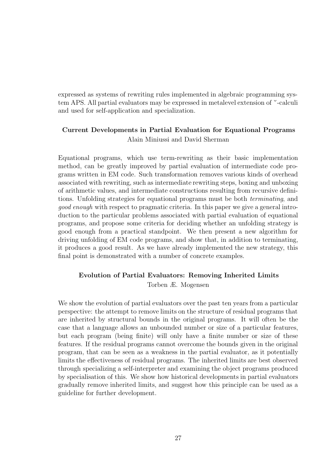expressed as systems of rewriting rules implemented in algebraic programming system APS. All partial evaluators may be expressed in metalevel extension of ˘-calculi and used for self-application and specialization.

## Current Developments in Partial Evaluation for Equational Programs Alain Miniussi and David Sherman

Equational programs, which use term-rewriting as their basic implementation method, can be greatly improved by partial evaluation of intermediate code programs written in EM code. Such transformation removes various kinds of overhead associated with rewriting, such as intermediate rewriting steps, boxing and unboxing of arithmetic values, and intermediate constructions resulting from recursive definitions. Unfolding strategies for equational programs must be both terminating, and good enough with respect to pragmatic criteria. In this paper we give a general introduction to the particular problems associated with partial evaluation of equational programs, and propose some criteria for deciding whether an unfolding strategy is good enough from a practical standpoint. We then present a new algorithm for driving unfolding of EM code programs, and show that, in addition to terminating, it produces a good result. As we have already implemented the new strategy, this final point is demonstrated with a number of concrete examples.

#### Evolution of Partial Evaluators: Removing Inherited Limits

Torben Æ. Mogensen

We show the evolution of partial evaluators over the past ten years from a particular perspective: the attempt to remove limits on the structure of residual programs that are inherited by structural bounds in the original programs. It will often be the case that a language allows an unbounded number or size of a particular features, but each program (being finite) will only have a finite number or size of these features. If the residual programs cannot overcome the bounds given in the original program, that can be seen as a weakness in the partial evaluator, as it potentially limits the effectiveness of residual programs. The inherited limits are best observed through specializing a self-interpreter and examining the object programs produced by specialisation of this. We show how historical developments in partial evaluators gradually remove inherited limits, and suggest how this principle can be used as a guideline for further development.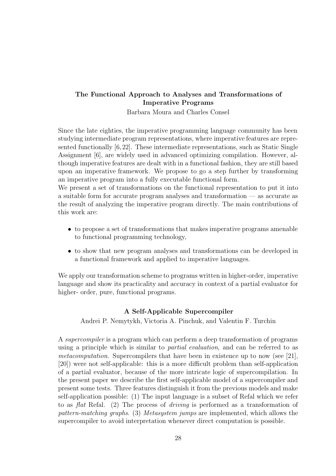#### The Functional Approach to Analyses and Transformations of Imperative Programs

Barbara Moura and Charles Consel

Since the late eighties, the imperative programming language community has been studying intermediate program representations, where imperative features are represented functionally [6,22]. These intermediate representations, such as Static Single Assignment [6], are widely used in advanced optimizing compilation. However, although imperative features are dealt with in a functional fashion, they are still based upon an imperative framework. We propose to go a step further by transforming an imperative program into a fully executable functional form.

We present a set of transformations on the functional representation to put it into a suitable form for accurate program analyses and transformation — as accurate as the result of analyzing the imperative program directly. The main contributions of this work are:

- to propose a set of transformations that makes imperative programs amenable to functional programming technology,
- to show that new program analyses and transformations can be developed in a functional framework and applied to imperative languages.

We apply our transformation scheme to programs written in higher-order, imperative language and show its practicality and accuracy in context of a partial evaluator for higher- order, pure, functional programs.

#### A Self-Applicable Supercompiler

Andrei P. Nemytykh, Victoria A. Pinchuk, and Valentin F. Turchin

A supercompiler is a program which can perform a deep transformation of programs using a principle which is similar to *partial evaluation*, and can be referred to as metacomputation. Supercompilers that have been in existence up to now (see [21], [20]) were not self-applicable: this is a more difficult problem than self-application of a partial evaluator, because of the more intricate logic of supercompilation. In the present paper we describe the first self-applicable model of a supercompiler and present some tests. Three features distinguish it from the previous models and make self-application possible: (1) The input language is a subset of Refal which we refer to as flat Refal. (2) The process of driving is performed as a transformation of pattern-matching graphs. (3) Metasystem jumps are implemented, which allows the supercompiler to avoid interpretation whenever direct computation is possible.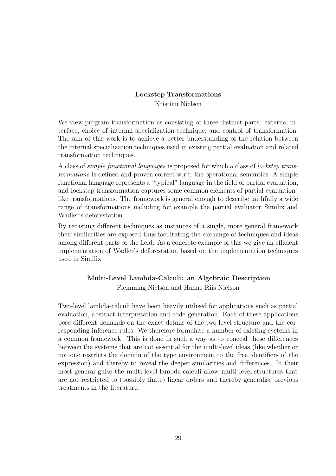## Lockstep Transformations Kristian Nielsen

We view program transformation as consisting of three distinct parts: external interface, choice of internal specialization technique, and control of transformation. The aim of this work is to achieve a better understanding of the relation between the internal specialization techniques used in existing partial evaluation and related transformation techniques.

A class of simple functional languages is proposed for which a class of lockstep transformations is defined and proven correct w.r.t. the operational semantics. A simple functional language represents a "typical" language in the field of partial evaluation, and lockstep transformation captures some common elements of partial evaluationlike transformations. The framework is general enough to describe faithfully a wide range of transformations including for example the partial evaluator Similix and Wadler's deforestation.

By recasting different techniques as instances of a single, more general framework their similarities are exposed thus facilitating the exchange of techniques and ideas among different parts of the field. As a concrete example of this we give an efficient implementation of Wadler's deforestation based on the implementation techniques used in Similix.

# Multi-Level Lambda-Calculi: an Algebraic Description

Flemming Nielson and Hanne Riis Nielson

Two-level lambda-calculi have been heavily utilised for applications such as partial evaluation, abstract interpretation and code generation. Each of these applications pose different demands on the exact details of the two-level structure and the corresponding inference rules. We therefore formulate a number of existing systems in a common framework. This is done in such a way as to conceal those differences between the systems that are not essential for the multi-level ideas (like whether or not one restricts the domain of the type environment to the free identifiers of the expression) and thereby to reveal the deeper similarities and differences. In their most general guise the multi-level lambda-calculi allow multi-level structures that are not restricted to (possibly finite) linear orders and thereby generalise previous treatments in the literature.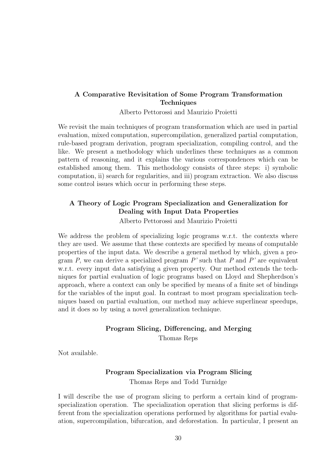#### A Comparative Revisitation of Some Program Transformation **Techniques**

Alberto Pettorossi and Maurizio Proietti

We revisit the main techniques of program transformation which are used in partial evaluation, mixed computation, supercompilation, generalized partial computation, rule-based program derivation, program specialization, compiling control, and the like. We present a methodology which underlines these techniques as a common pattern of reasoning, and it explains the various correspondences which can be established among them. This methodology consists of three steps: i) symbolic computation, ii) search for regularities, and iii) program extraction. We also discuss some control issues which occur in performing these steps.

## A Theory of Logic Program Specialization and Generalization for Dealing with Input Data Properties

Alberto Pettorossi and Maurizio Proietti

We address the problem of specializing logic programs w.r.t. the contexts where they are used. We assume that these contexts are specified by means of computable properties of the input data. We describe a general method by which, given a program  $P$ , we can derive a specialized program  $P'$  such that  $P$  and  $P'$  are equivalent w.r.t. every input data satisfying a given property. Our method extends the techniques for partial evaluation of logic programs based on Lloyd and Shepherdson's approach, where a context can only be specified by means of a finite set of bindings for the variables of the input goal. In contrast to most program specialization techniques based on partial evaluation, our method may achieve superlinear speedups, and it does so by using a novel generalization technique.

#### Program Slicing, Differencing, and Merging

Thomas Reps

Not available.

#### Program Specialization via Program Slicing

Thomas Reps and Todd Turnidge

I will describe the use of program slicing to perform a certain kind of programspecialization operation. The specialization operation that slicing performs is different from the specialization operations performed by algorithms for partial evaluation, supercompilation, bifurcation, and deforestation. In particular, I present an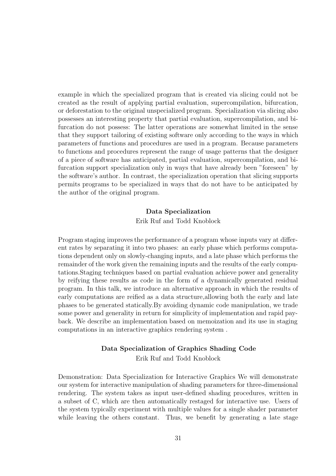example in which the specialized program that is created via slicing could not be created as the result of applying partial evaluation, supercompilation, bifurcation, or deforestation to the original unspecialized program. Specialization via slicing also possesses an interesting property that partial evaluation, supercompilation, and bifurcation do not possess: The latter operations are somewhat limited in the sense that they support tailoring of existing software only according to the ways in which parameters of functions and procedures are used in a program. Because parameters to functions and procedures represent the range of usage patterns that the designer of a piece of software has anticipated, partial evaluation, supercompilation, and bifurcation support specialization only in ways that have already been "foreseen" by the software's author. In contrast, the specialization operation that slicing supports permits programs to be specialized in ways that do not have to be anticipated by the author of the original program.

#### Data Specialization

#### Erik Ruf and Todd Knoblock

Program staging improves the performance of a program whose inputs vary at different rates by separating it into two phases: an early phase which performs computations dependent only on slowly-changing inputs, and a late phase which performs the remainder of the work given the remaining inputs and the results of the early computations.Staging techniques based on partial evaluation achieve power and generality by reifying these results as code in the form of a dynamically generated residual program. In this talk, we introduce an alternative approach in which the results of early computations are reified as a data structure,allowing both the early and late phases to be generated statically.By avoiding dynamic code manipulation, we trade some power and generality in return for simplicity of implementation and rapid payback. We describe an implementation based on memoization and its use in staging computations in an interactive graphics rendering system .

## Data Specialization of Graphics Shading Code Erik Ruf and Todd Knoblock

Demonstration: Data Specialization for Interactive Graphics We will demonstrate our system for interactive manipulation of shading parameters for three-dimensional rendering. The system takes as input user-defined shading procedures, written in a subset of C, which are then automatically restaged for interactive use. Users of the system typically experiment with multiple values for a single shader parameter while leaving the others constant. Thus, we benefit by generating a late stage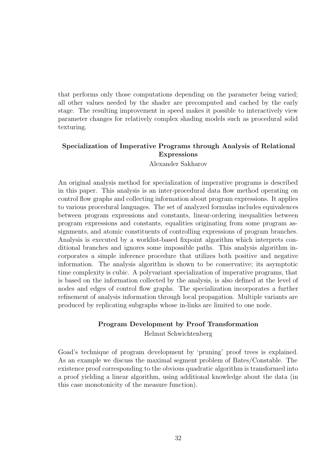that performs only those computations depending on the parameter being varied; all other values needed by the shader are precomputed and cached by the early stage. The resulting improvement in speed makes it possible to interactively view parameter changes for relatively complex shading models such as procedural solid texturing.

## Specialization of Imperative Programs through Analysis of Relational Expressions

Alexander Sakharov

An original analysis method for specialization of imperative programs is described in this paper. This analysis is an inter-procedural data flow method operating on control flow graphs and collecting information about program expressions. It applies to various procedural languages. The set of analyzed formulas includes equivalences between program expressions and constants, linear-ordering inequalities between program expressions and constants, equalities originating from some program assignments, and atomic constituents of controlling expressions of program branches. Analysis is executed by a worklist-based fixpoint algorithm which interprets conditional branches and ignores some impossible paths. This analysis algorithm incorporates a simple inference procedure that utilizes both positive and negative information. The analysis algorithm is shown to be conservative; its asymptotic time complexity is cubic. A polyvariant specialization of imperative programs, that is based on the information collected by the analysis, is also defined at the level of nodes and edges of control flow graphs. The specialization incorporates a further refinement of analysis information through local propagation. Multiple variants are produced by replicating subgraphs whose in-links are limited to one node.

#### Program Development by Proof Transformation

Helmut Schwichtenberg

Goad's technique of program development by 'pruning' proof trees is explained. As an example we discuss the maximal segment problem of Bates/Constable. The existence proof corresponding to the obvious quadratic algorithm is transformed into a proof yielding a linear algorithm, using additional knowledge about the data (in this case monotonicity of the measure function).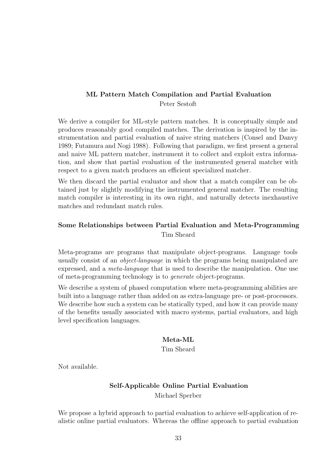## ML Pattern Match Compilation and Partial Evaluation Peter Sestoft

We derive a compiler for ML-style pattern matches. It is conceptually simple and produces reasonably good compiled matches. The derivation is inspired by the instrumentation and partial evaluation of naive string matchers (Consel and Danvy 1989; Futamura and Nogi 1988). Following that paradigm, we first present a general and naive ML pattern matcher, instrument it to collect and exploit extra information, and show that partial evaluation of the instrumented general matcher with respect to a given match produces an efficient specialized matcher.

We then discard the partial evaluator and show that a match compiler can be obtained just by slightly modifying the instrumented general matcher. The resulting match compiler is interesting in its own right, and naturally detects inexhaustive matches and redundant match rules.

## Some Relationships between Partial Evaluation and Meta-Programming Tim Sheard

Meta-programs are programs that manipulate object-programs. Language tools usually consist of an *object-language* in which the programs being manipulated are expressed, and a meta-language that is used to describe the manipulation. One use of meta-programming technology is to generate object-programs.

We describe a system of phased computation where meta-programming abilities are built into a language rather than added on as extra-language pre- or post-processors. We describe how such a system can be statically typed, and how it can provide many of the benefits usually associated with macro systems, partial evaluators, and high level specification languages.

#### Meta-ML

Tim Sheard

Not available.

## Self-Applicable Online Partial Evaluation Michael Sperber

We propose a hybrid approach to partial evaluation to achieve self-application of realistic online partial evaluators. Whereas the offline approach to partial evaluation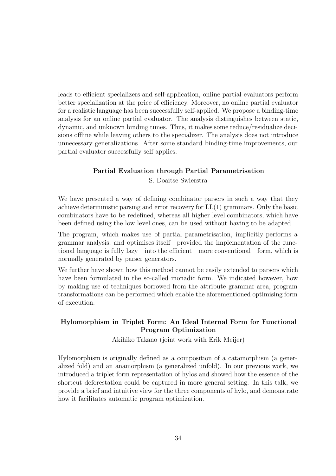leads to efficient specializers and self-application, online partial evaluators perform better specialization at the price of efficiency. Moreover, no online partial evaluator for a realistic language has been successfully self-applied. We propose a binding-time analysis for an online partial evaluator. The analysis distinguishes between static, dynamic, and unknown binding times. Thus, it makes some reduce/residualize decisions offline while leaving others to the specializer. The analysis does not introduce unnecessary generalizations. After some standard binding-time improvements, our partial evaluator successfully self-applies.

#### Partial Evaluation through Partial Parametrisation

S. Doaitse Swierstra

We have presented a way of defining combinator parsers in such a way that they achieve deterministic parsing and error recovery for LL(1) grammars. Only the basic combinators have to be redefined, whereas all higher level combinators, which have been defined using the low level ones, can be used without having to be adapted.

The program, which makes use of partial parametrisation, implicitly performs a grammar analysis, and optimises itself—provided the implementation of the functional language is fully lazy—into the efficient—more conventional—form, which is normally generated by parser generators.

We further have shown how this method cannot be easily extended to parsers which have been formulated in the so-called monadic form. We indicated however, how by making use of techniques borrowed from the attribute grammar area, program transformations can be performed which enable the aforementioned optimising form of execution.

## Hylomorphism in Triplet Form: An Ideal Internal Form for Functional Program Optimization

Akihiko Takano (joint work with Erik Meijer)

Hylomorphism is originally defined as a composition of a catamorphism (a generalized fold) and an anamorphism (a generalized unfold). In our previous work, we introduced a triplet form representation of hylos and showed how the essence of the shortcut deforestation could be captured in more general setting. In this talk, we provide a brief and intuitive view for the three components of hylo, and demonstrate how it facilitates automatic program optimization.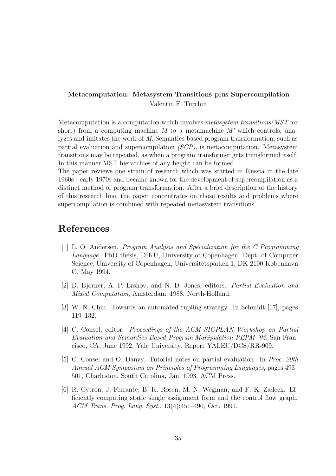## Metacomputation: Metasystem Transitions plus Supercompilation Valentin F. Turchin

Metacomputation is a computation which involves metasystem transitions(MST for short) from a computing machine  $M$  to a metamachine  $M'$  which controls, analyzes and imitates the work of M. Semantics-based program transformation, such as partial evaluation and supercompilation (SCP), is metacomputation. Metasystem transitions may be repeated, as when a program transformer gets transformed itself. In this manner MST hierarchies of any height can be formed.

The paper reviews one strain of research which was started in Russia in the late 1960s - early 1970s and became known for the development of supercompilation as a distinct method of program transformation. After a brief description of the history of this research line, the paper concentrates on those results and problems where supercompilation is combined with repeated metasystem transitions.

## References

- [1] L. O. Andersen. Program Analysis and Specialization for the C Programming Language. PhD thesis, DIKU, University of Copenhagen, Dept. of Computer Science, University of Copenhagen, Universitetsparken 1, DK-2100 København Ø, May 1994.
- [2] D. Bjørner, A. P. Ershov, and N. D. Jones, editors. Partial Evaluation and Mixed Computation, Amsterdam, 1988. North-Holland.
- [3] W.-N. Chin. Towards an automated tupling strategy. In Schmidt [17], pages 119–132.
- [4] C. Consel, editor. *Proceedings of the ACM SIGPLAN Workshop on Partial* Evaluation and Semantics-Based Program Manipulation PEPM '92, San Francisco, CA, June 1992. Yale University. Report YALEU/DCS/RR-909.
- [5] C. Consel and O. Danvy. Tutorial notes on partial evaluation. In Proc. 20th Annual ACM Symposium on Principles of Programming Languages, pages 493– 501, Charleston, South Carolina, Jan. 1993. ACM Press.
- [6] R. Cytron, J. Ferrante, B. K. Rosen, M. N. Wegman, and F. K. Zadeck. Efficiently computing static single assignment form and the control flow graph. ACM Trans. Prog. Lang. Syst., 13(4):451–490, Oct. 1991.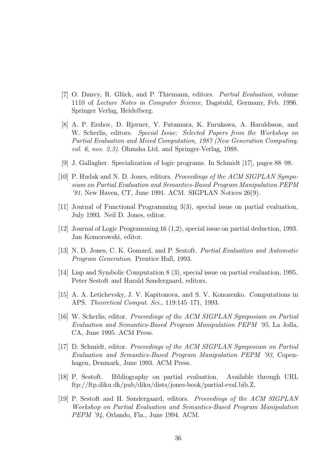- [7] O. Danvy, R. Glück, and P. Thiemann, editors. *Partial Evaluation*, volume 1110 of Lecture Notes in Computer Science, Dagstuhl, Germany, Feb. 1996. Springer Verlag, Heidelberg.
- [8] A. P. Ershov, D. Bjørner, Y. Futamura, K. Furukawa, A. Haraldsson, and W. Scherlis, editors. Special Issue: Selected Papers from the Workshop on Partial Evaluation and Mixed Computation, 1987 (New Generation Computing, vol. 6, nos. 2,3). Ohmsha Ltd. and Springer-Verlag, 1988.
- [9] J. Gallagher. Specialization of logic programs. In Schmidt [17], pages 88–98.
- [10] P. Hudak and N. D. Jones, editors. Proceedings of the ACM SIGPLAN Symposium on Partial Evaluation and Semantics-Based Program Manipulation PEPM '91, New Haven, CT, June 1991. ACM. SIGPLAN Notices 26(9).
- [11] Journal of Functional Programming 3(3), special issue on partial evaluation, July 1993. Neil D. Jones, editor.
- [12] Journal of Logic Programming 16 (1,2), special issue on partial deduction, 1993. Jan Komorowski, editor.
- [13] N. D. Jones, C. K. Gomard, and P. Sestoft. Partial Evaluation and Automatic Program Generation. Prentice Hall, 1993.
- [14] Lisp and Symbolic Computation 8 (3), special issue on partial evaluation, 1995. Peter Sestoft and Harald Søndergaard, editors.
- [15] A. A. Letichevsky, J. V. Kapitonova, and S. V. Konozenko. Computations in APS. Theoretical Comput. Sci., 119:145–171, 1993.
- [16] W. Scherlis, editor. Proceedings of the ACM SIGPLAN Symposium on Partial Evaluation and Semantics-Based Program Manipulation PEPM '95, La Jolla, CA, June 1995. ACM Press.
- [17] D. Schmidt, editor. Proceedings of the ACM SIGPLAN Symposium on Partial Evaluation and Semantics-Based Program Manipulation PEPM '93, Copenhagen, Denmark, June 1993. ACM Press.
- [18] P. Sestoft. Bibliography on partial evaluation. Available through URL ftp://ftp.diku.dk/pub/diku/dists/jones-book/partial-eval.bib.Z.
- [19] P. Sestoft and H. Søndergaard, editors. Proceedings of the ACM SIGPLAN Workshop on Partial Evaluation and Semantics-Based Program Manipulation PEPM '94, Orlando, Fla., June 1994. ACM.